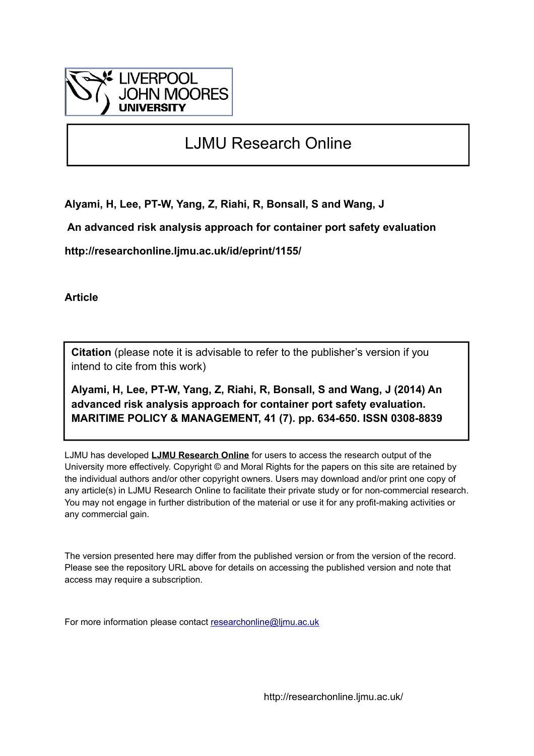

# LJMU Research Online

**Alyami, H, Lee, PT-W, Yang, Z, Riahi, R, Bonsall, S and Wang, J**

 **An advanced risk analysis approach for container port safety evaluation**

**http://researchonline.ljmu.ac.uk/id/eprint/1155/**

**Article**

**Citation** (please note it is advisable to refer to the publisher's version if you intend to cite from this work)

**Alyami, H, Lee, PT-W, Yang, Z, Riahi, R, Bonsall, S and Wang, J (2014) An advanced risk analysis approach for container port safety evaluation. MARITIME POLICY & MANAGEMENT, 41 (7). pp. 634-650. ISSN 0308-8839** 

LJMU has developed **[LJMU Research Online](http://researchonline.ljmu.ac.uk/)** for users to access the research output of the University more effectively. Copyright © and Moral Rights for the papers on this site are retained by the individual authors and/or other copyright owners. Users may download and/or print one copy of any article(s) in LJMU Research Online to facilitate their private study or for non-commercial research. You may not engage in further distribution of the material or use it for any profit-making activities or any commercial gain.

The version presented here may differ from the published version or from the version of the record. Please see the repository URL above for details on accessing the published version and note that access may require a subscription.

For more information please contact [researchonline@ljmu.ac.uk](mailto:researchonline@ljmu.ac.uk)

http://researchonline.ljmu.ac.uk/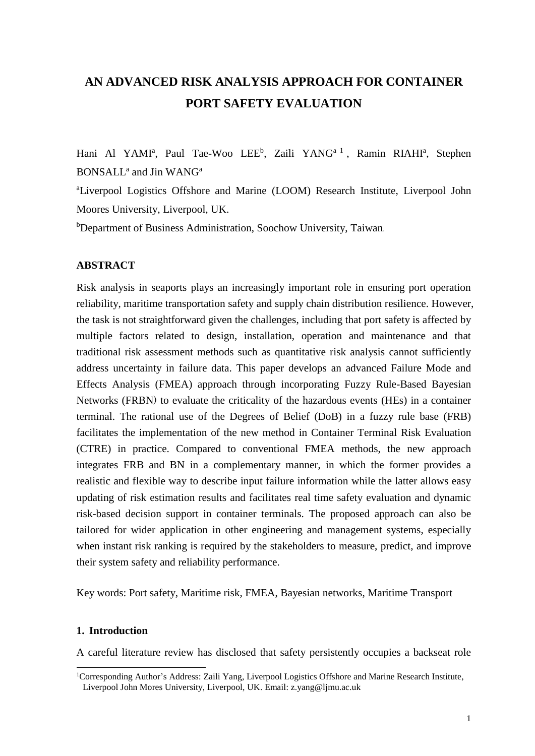## **AN ADVANCED RISK ANALYSIS APPROACH FOR CONTAINER PORT SAFETY EVALUATION**

Hani Al YAMI<sup>a</sup>, Paul Tae-Woo LEE<sup>b</sup>, Zaili YANG<sup>a 1</sup>, Ramin RIAHI<sup>a</sup>, Stephen BONSALL<sup>a</sup> and Jin WANG<sup>a</sup>

<sup>a</sup>Liverpool Logistics Offshore and Marine (LOOM) Research Institute, Liverpool John Moores University, Liverpool, UK.

<sup>b</sup>Department of Business Administration, Soochow University, Taiwan.

#### **ABSTRACT**

Risk analysis in seaports plays an increasingly important role in ensuring port operation reliability, maritime transportation safety and supply chain distribution resilience. However, the task is not straightforward given the challenges, including that port safety is affected by multiple factors related to design, installation, operation and maintenance and that traditional risk assessment methods such as quantitative risk analysis cannot sufficiently address uncertainty in failure data. This paper develops an advanced Failure Mode and Effects Analysis (FMEA) approach through incorporating Fuzzy Rule-Based Bayesian Networks (FRBN) to evaluate the criticality of the hazardous events (HEs) in a container terminal. The rational use of the Degrees of Belief (DoB) in a fuzzy rule base (FRB) facilitates the implementation of the new method in Container Terminal Risk Evaluation (CTRE) in practice. Compared to conventional FMEA methods, the new approach integrates FRB and BN in a complementary manner, in which the former provides a realistic and flexible way to describe input failure information while the latter allows easy updating of risk estimation results and facilitates real time safety evaluation and dynamic risk-based decision support in container terminals. The proposed approach can also be tailored for wider application in other engineering and management systems, especially when instant risk ranking is required by the stakeholders to measure, predict, and improve their system safety and reliability performance.

Key words: Port safety, Maritime risk, FMEA, Bayesian networks, Maritime Transport

#### **1. Introduction**

-

A careful literature review has disclosed that safety persistently occupies a backseat role

<sup>&</sup>lt;sup>1</sup>Corresponding Author's Address: Zaili Yang, Liverpool Logistics Offshore and Marine Research Institute, Liverpool John Mores University, Liverpool, UK. Email: z.yang@ljmu.ac.uk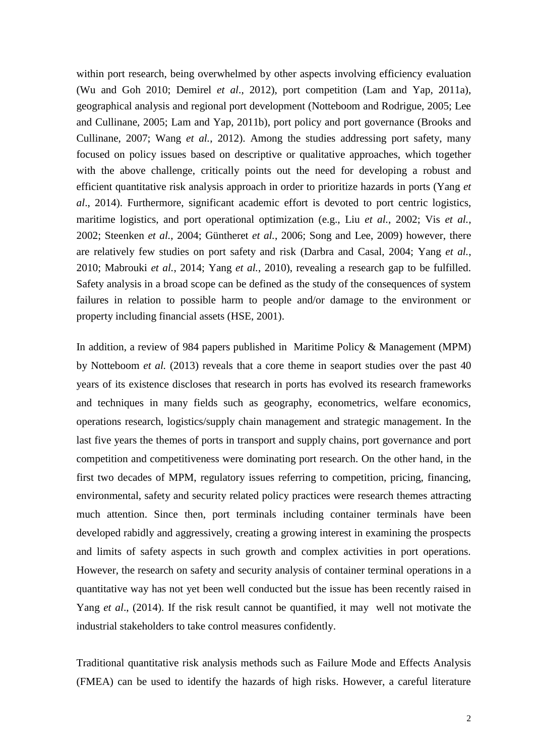within port research, being overwhelmed by other aspects involving efficiency evaluation (Wu and Goh 2010; Demirel *et al*., 2012), port competition (Lam and Yap, 2011a), geographical analysis and regional port development (Notteboom and Rodrigue, 2005; Lee and Cullinane, 2005; Lam and Yap, 2011b), port policy and port governance (Brooks and Cullinane, 2007; Wang *et al.*, 2012). Among the studies addressing port safety, many focused on policy issues based on descriptive or qualitative approaches, which together with the above challenge, critically points out the need for developing a robust and efficient quantitative risk analysis approach in order to prioritize hazards in ports (Yang *et al*., 2014). Furthermore, significant academic effort is devoted to port centric logistics, maritime logistics, and port operational optimization (e.g., Liu *et al.*, 2002; Vis *et al.*, 2002; Steenken *et al.*, 2004; Güntheret *et al.*, 2006; Song and Lee, 2009) however, there are relatively few studies on port safety and risk (Darbra and Casal, 2004; Yang *et al.*, 2010; Mabrouki *et al.*, 2014; Yang *et al.*, 2010), revealing a research gap to be fulfilled. Safety analysis in a broad scope can be defined as the study of the consequences of system failures in relation to possible harm to people and/or damage to the environment or property including financial assets (HSE, 2001).

In addition, a review of 984 papers published in Maritime Policy & Management (MPM) by Notteboom *et al.* (2013) reveals that a core theme in seaport studies over the past 40 years of its existence discloses that research in ports has evolved its research frameworks and techniques in many fields such as geography, econometrics, welfare economics, operations research, logistics/supply chain management and strategic management. In the last five years the themes of ports in transport and supply chains, port governance and port competition and competitiveness were dominating port research. On the other hand, in the first two decades of MPM, regulatory issues referring to competition, pricing, financing, environmental, safety and security related policy practices were research themes attracting much attention. Since then, port terminals including container terminals have been developed rabidly and aggressively, creating a growing interest in examining the prospects and limits of safety aspects in such growth and complex activities in port operations. However, the research on safety and security analysis of container terminal operations in a quantitative way has not yet been well conducted but the issue has been recently raised in Yang *et al*., (2014). If the risk result cannot be quantified, it may well not motivate the industrial stakeholders to take control measures confidently.

Traditional quantitative risk analysis methods such as Failure Mode and Effects Analysis (FMEA) can be used to identify the hazards of high risks. However, a careful literature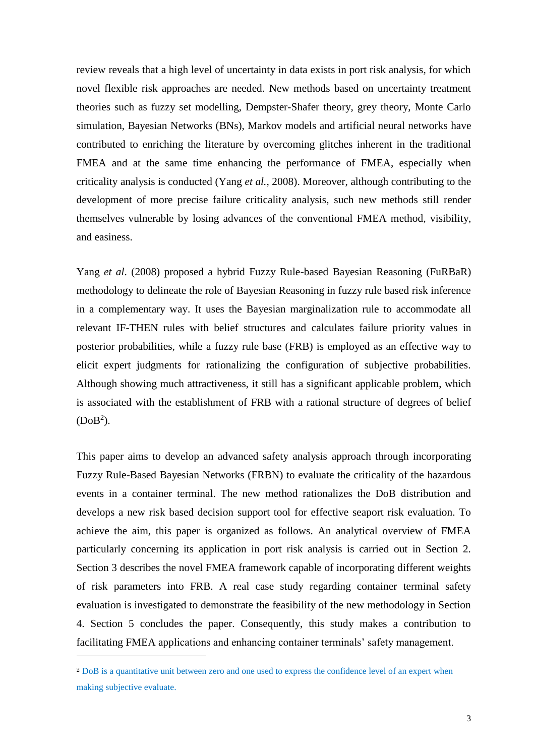review reveals that a high level of uncertainty in data exists in port risk analysis, for which novel flexible risk approaches are needed. New methods based on uncertainty treatment theories such as fuzzy set modelling, Dempster-Shafer theory, grey theory, Monte Carlo simulation, Bayesian Networks (BNs), Markov models and artificial neural networks have contributed to enriching the literature by overcoming glitches inherent in the traditional FMEA and at the same time enhancing the performance of FMEA, especially when criticality analysis is conducted (Yang *et al.*, 2008). Moreover, although contributing to the development of more precise failure criticality analysis, such new methods still render themselves vulnerable by losing advances of the conventional FMEA method, visibility, and easiness.

Yang *et al*. (2008) proposed a hybrid Fuzzy Rule-based Bayesian Reasoning (FuRBaR) methodology to delineate the role of Bayesian Reasoning in fuzzy rule based risk inference in a complementary way. It uses the Bayesian marginalization rule to accommodate all relevant IF-THEN rules with belief structures and calculates failure priority values in posterior probabilities, while a fuzzy rule base (FRB) is employed as an effective way to elicit expert judgments for rationalizing the configuration of subjective probabilities. Although showing much attractiveness, it still has a significant applicable problem, which is associated with the establishment of FRB with a rational structure of degrees of belief  $(DoB<sup>2</sup>)$ .

This paper aims to develop an advanced safety analysis approach through incorporating Fuzzy Rule-Based Bayesian Networks (FRBN) to evaluate the criticality of the hazardous events in a container terminal. The new method rationalizes the DoB distribution and develops a new risk based decision support tool for effective seaport risk evaluation. To achieve the aim, this paper is organized as follows. An analytical overview of FMEA particularly concerning its application in port risk analysis is carried out in Section 2. Section 3 describes the novel FMEA framework capable of incorporating different weights of risk parameters into FRB. A real case study regarding container terminal safety evaluation is investigated to demonstrate the feasibility of the new methodology in Section 4. Section 5 concludes the paper. Consequently, this study makes a contribution to facilitating FMEA applications and enhancing container terminals' safety management.

-

<sup>2</sup> DoB is a quantitative unit between zero and one used to express the confidence level of an expert when making subjective evaluate.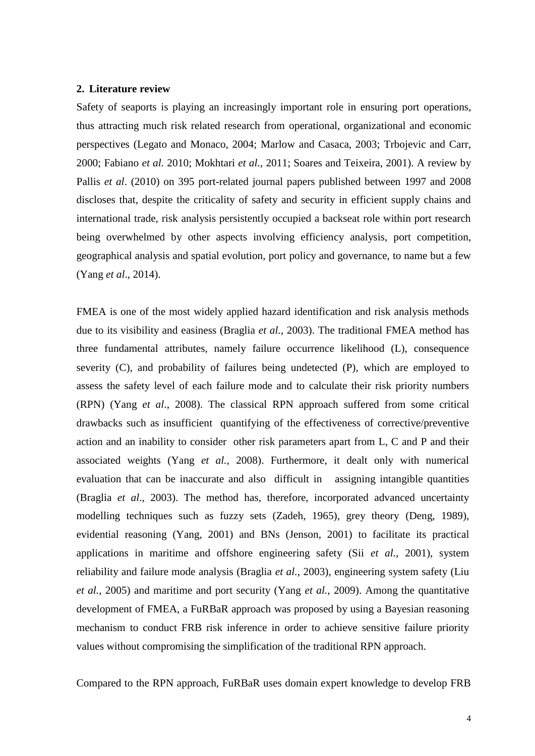#### **2. Literature review**

Safety of seaports is playing an increasingly important role in ensuring port operations, thus attracting much risk related research from operational, organizational and economic perspectives (Legato and Monaco, 2004; Marlow and Casaca, 2003; Trbojevic and Carr, 2000; Fabiano *et al.* 2010; Mokhtari *et al.*, 2011; Soares and Teixeira, 2001). A review by Pallis *et al*. (2010) on 395 port-related journal papers published between 1997 and 2008 discloses that, despite the criticality of safety and security in efficient supply chains and international trade, risk analysis persistently occupied a backseat role within port research being overwhelmed by other aspects involving efficiency analysis, port competition, geographical analysis and spatial evolution, port policy and governance, to name but a few (Yang *et al*., 2014).

FMEA is one of the most widely applied hazard identification and risk analysis methods due to its visibility and easiness (Braglia *et al.*, 2003). The traditional FMEA method has three fundamental attributes, namely failure occurrence likelihood (L), consequence severity (C), and probability of failures being undetected (P), which are employed to assess the safety level of each failure mode and to calculate their risk priority numbers (RPN) (Yang *et al*., 2008). The classical RPN approach suffered from some critical drawbacks such as insufficient quantifying of the effectiveness of corrective/preventive action and an inability to consider other risk parameters apart from L, C and P and their associated weights (Yang *et al.*, 2008). Furthermore, it dealt only with numerical evaluation that can be inaccurate and also difficult in assigning intangible quantities (Braglia *et al*., 2003). The method has, therefore, incorporated advanced uncertainty modelling techniques such as fuzzy sets (Zadeh, 1965), grey theory (Deng, 1989), evidential reasoning (Yang, 2001) and BNs (Jenson, 2001) to facilitate its practical applications in maritime and offshore engineering safety (Sii *et al.*, 2001), system reliability and failure mode analysis (Braglia *et al.*, 2003), engineering system safety (Liu *et al.*, 2005) and maritime and port security (Yang *et al.*, 2009). Among the quantitative development of FMEA, a FuRBaR approach was proposed by using a Bayesian reasoning mechanism to conduct FRB risk inference in order to achieve sensitive failure priority values without compromising the simplification of the traditional RPN approach.

Compared to the RPN approach, FuRBaR uses domain expert knowledge to develop FRB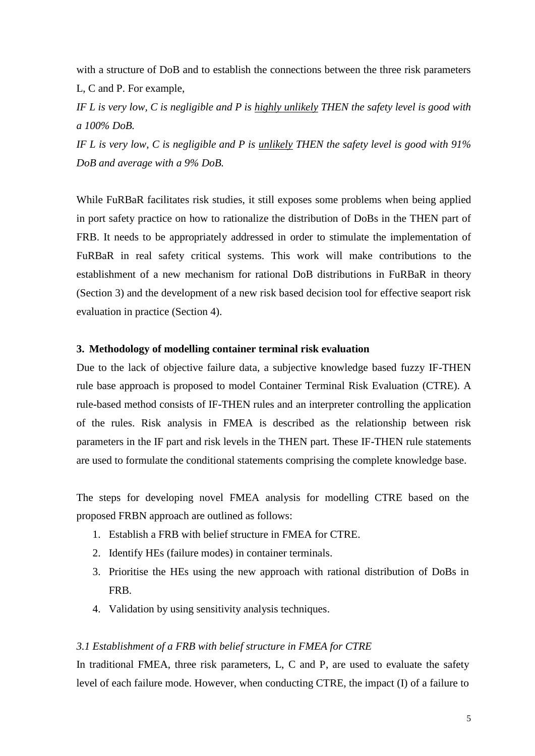with a structure of DoB and to establish the connections between the three risk parameters L, C and P. For example,

*IF L is very low, C is negligible and P is highly unlikely THEN the safety level is good with a 100% DoB.*

*IF L is very low, C is negligible and P is unlikely THEN the safety level is good with 91% DoB and average with a 9% DoB.* 

While FuRBaR facilitates risk studies, it still exposes some problems when being applied in port safety practice on how to rationalize the distribution of DoBs in the THEN part of FRB. It needs to be appropriately addressed in order to stimulate the implementation of FuRBaR in real safety critical systems. This work will make contributions to the establishment of a new mechanism for rational DoB distributions in FuRBaR in theory (Section 3) and the development of a new risk based decision tool for effective seaport risk evaluation in practice (Section 4).

#### **3. Methodology of modelling container terminal risk evaluation**

Due to the lack of objective failure data, a subjective knowledge based fuzzy IF-THEN rule base approach is proposed to model Container Terminal Risk Evaluation (CTRE). A rule-based method consists of IF-THEN rules and an interpreter controlling the application of the rules. Risk analysis in FMEA is described as the relationship between risk parameters in the IF part and risk levels in the THEN part. These IF-THEN rule statements are used to formulate the conditional statements comprising the complete knowledge base.

The steps for developing novel FMEA analysis for modelling CTRE based on the proposed FRBN approach are outlined as follows:

- 1. Establish a FRB with belief structure in FMEA for CTRE.
- 2. Identify HEs (failure modes) in container terminals.
- 3. Prioritise the HEs using the new approach with rational distribution of DoBs in FRB.
- 4. Validation by using sensitivity analysis techniques.

#### *3.1 Establishment of a FRB with belief structure in FMEA for CTRE*

In traditional FMEA, three risk parameters, L, C and P, are used to evaluate the safety level of each failure mode. However, when conducting CTRE, the impact (I) of a failure to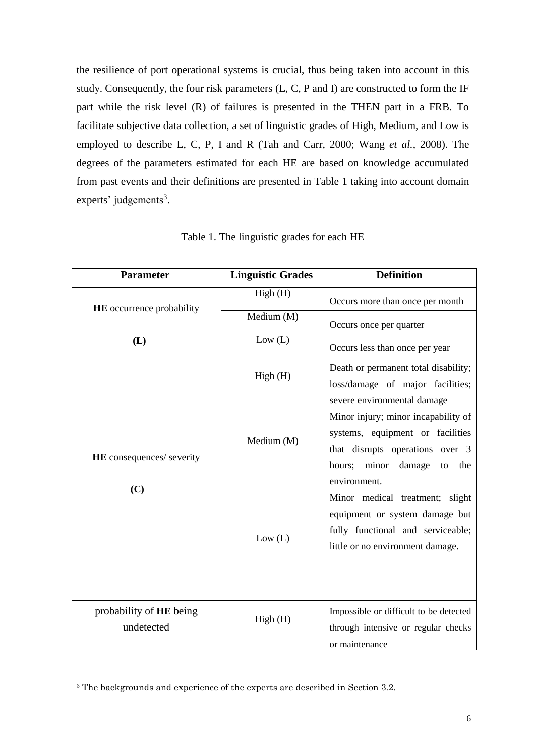the resilience of port operational systems is crucial, thus being taken into account in this study. Consequently, the four risk parameters (L, C, P and I) are constructed to form the IF part while the risk level (R) of failures is presented in the THEN part in a FRB. To facilitate subjective data collection, a set of linguistic grades of High, Medium, and Low is employed to describe L, C, P, I and R (Tah and Carr, 2000; Wang *et al.*, 2008). The degrees of the parameters estimated for each HE are based on knowledge accumulated from past events and their definitions are presented in Table 1 taking into account domain experts' judgements<sup>3</sup>.

| <b>Parameter</b>                      | <b>Linguistic Grades</b> | <b>Definition</b>                                                                                                                                                    |
|---------------------------------------|--------------------------|----------------------------------------------------------------------------------------------------------------------------------------------------------------------|
| <b>HE</b> occurrence probability      | High (H)                 | Occurs more than once per month                                                                                                                                      |
|                                       | Medium (M)               | Occurs once per quarter                                                                                                                                              |
| (L)                                   | Low (L)                  | Occurs less than once per year                                                                                                                                       |
|                                       | High(H)                  | Death or permanent total disability;<br>loss/damage of major facilities;<br>severe environmental damage                                                              |
| <b>HE</b> consequences/ severity      | Medium (M)               | Minor injury; minor incapability of<br>systems, equipment or facilities<br>that disrupts operations over 3<br>minor<br>damage<br>hours;<br>the<br>to<br>environment. |
| (C)                                   | Low (L)                  | Minor medical treatment; slight<br>equipment or system damage but<br>fully functional and serviceable;<br>little or no environment damage.                           |
| probability of HE being<br>undetected | High(H)                  | Impossible or difficult to be detected<br>through intensive or regular checks<br>or maintenance                                                                      |

Table 1. The linguistic grades for each HE

-

<sup>&</sup>lt;sup>3</sup> The backgrounds and experience of the experts are described in Section 3.2.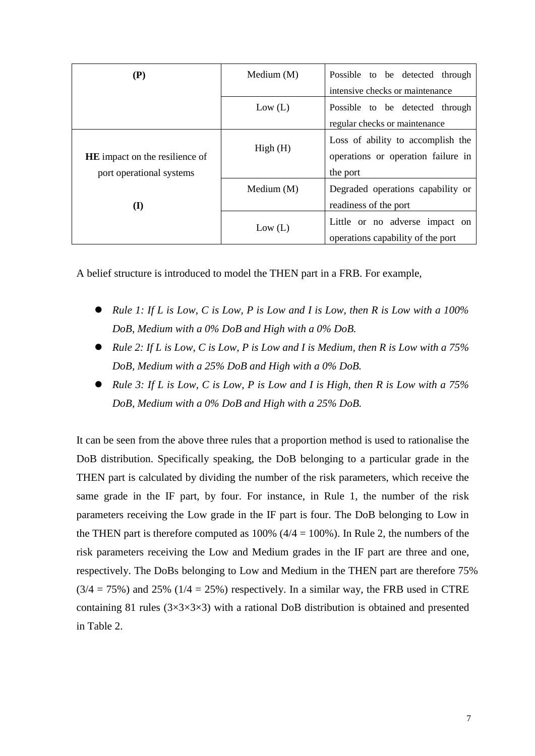| (P)                                   | Medium $(M)$ | Possible to be detected through                                         |
|---------------------------------------|--------------|-------------------------------------------------------------------------|
|                                       |              | intensive checks or maintenance                                         |
|                                       | Low (L)      | Possible to be detected through                                         |
|                                       |              | regular checks or maintenance                                           |
| <b>HE</b> impact on the resilience of | High(H)      | Loss of ability to accomplish the<br>operations or operation failure in |
| port operational systems              |              | the port                                                                |
| (I)                                   | Medium $(M)$ | Degraded operations capability or<br>readiness of the port              |
|                                       | Low (L)      | Little or no adverse impact on<br>operations capability of the port     |

A belief structure is introduced to model the THEN part in a FRB. For example,

- *Rule 1: If L is Low, C is Low, P is Low and I is Low, then R is Low with a 100% DoB, Medium with a 0% DoB and High with a 0% DoB.*
- *Rule 2: If L is Low, C is Low, P is Low and I is Medium, then R is Low with a 75% DoB, Medium with a 25% DoB and High with a 0% DoB.*
- *Rule 3: If L is Low, C is Low, P is Low and I is High, then R is Low with a 75% DoB, Medium with a 0% DoB and High with a 25% DoB.*

It can be seen from the above three rules that a proportion method is used to rationalise the DoB distribution. Specifically speaking, the DoB belonging to a particular grade in the THEN part is calculated by dividing the number of the risk parameters, which receive the same grade in the IF part, by four. For instance, in Rule 1, the number of the risk parameters receiving the Low grade in the IF part is four. The DoB belonging to Low in the THEN part is therefore computed as  $100\%$  ( $4/4 = 100\%$ ). In Rule 2, the numbers of the risk parameters receiving the Low and Medium grades in the IF part are three and one, respectively. The DoBs belonging to Low and Medium in the THEN part are therefore 75%  $(3/4 = 75%)$  and 25%  $(1/4 = 25%)$  respectively. In a similar way, the FRB used in CTRE containing 81 rules  $(3\times3\times3\times3)$  with a rational DoB distribution is obtained and presented in Table 2.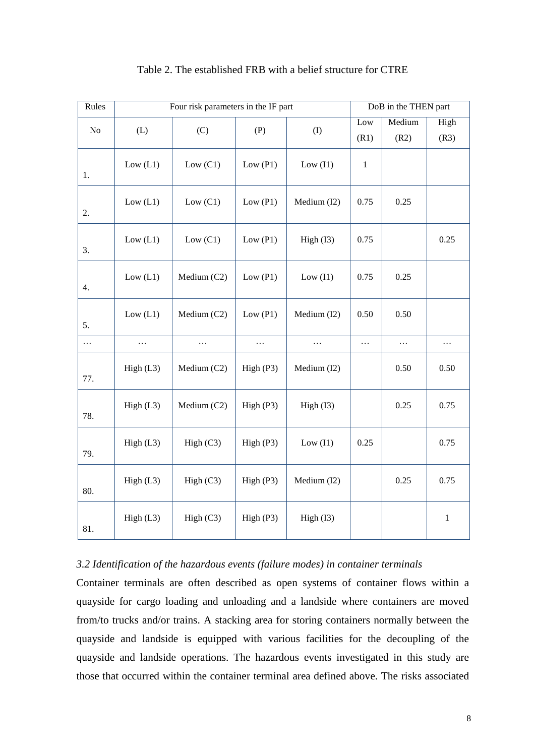| Rules    | Four risk parameters in the IF part |             |            |             | DoB in the THEN part |          |         |
|----------|-------------------------------------|-------------|------------|-------------|----------------------|----------|---------|
|          |                                     |             |            |             | Low                  | Medium   | High    |
| No       | (L)                                 | (C)         | (P)        | (1)         | (R1)                 | (R2)     | (R3)    |
| 1.       | Low (L1)                            | Low $(C1)$  | Low $(P1)$ | Low $(11)$  | $\mathbf{1}$         |          |         |
| 2.       | Low $(L1)$                          | Low $(C1)$  | Low $(P1)$ | Medium (I2) | 0.75                 | 0.25     |         |
| 3.       | Low $(L1)$                          | Low $(C1)$  | Low $(P1)$ | High (I3)   | 0.75                 |          | 0.25    |
| 4.       | Low $(L1)$                          | Medium (C2) | Low $(P1)$ | Low $(11)$  | 0.75                 | 0.25     |         |
| 5.       | Low $(L1)$                          | Medium (C2) | Low $(P1)$ | Medium (I2) | 0.50                 | 0.50     |         |
| $\ldots$ | $\cdots$                            | .           | $\ldots$   | .           | $\ldots$             | $\ldots$ | .       |
| 77.      | High (L3)                           | Medium (C2) | High (P3)  | Medium (I2) |                      | 0.50     | 0.50    |
| 78.      | High (L3)                           | Medium (C2) | High (P3)  | High (I3)   |                      | 0.25     | 0.75    |
| 79.      | High (L3)                           | High (C3)   | High (P3)  | Low $(11)$  | 0.25                 |          | 0.75    |
| 80.      | High (L3)                           | High $(C3)$ | High (P3)  | Medium (I2) |                      | 0.25     | 0.75    |
| 81.      | High (L3)                           | High (C3)   | High (P3)  | High (I3)   |                      |          | $\,1\,$ |

#### Table 2. The established FRB with a belief structure for CTRE

#### *3.2 Identification of the hazardous events (failure modes) in container terminals*

Container terminals are often described as open systems of container flows within a quayside for cargo loading and unloading and a landside where containers are moved from/to trucks and/or trains. A stacking area for storing containers normally between the quayside and landside is equipped with various facilities for the decoupling of the quayside and landside operations. The hazardous events investigated in this study are those that occurred within the container terminal area defined above. The risks associated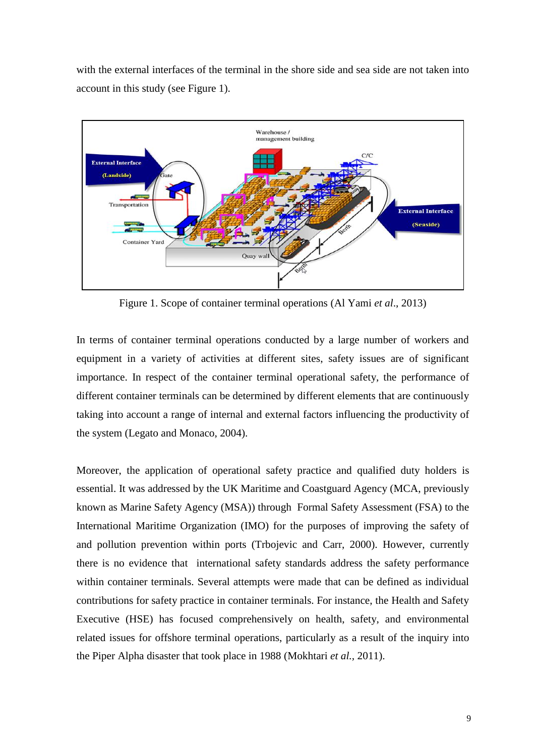with the external interfaces of the terminal in the shore side and sea side are not taken into account in this study (see Figure 1).



Figure 1. Scope of container terminal operations (Al Yami *et al*., 2013)

In terms of container terminal operations conducted by a large number of workers and equipment in a variety of activities at different sites, safety issues are of significant importance. In respect of the container terminal operational safety, the performance of different container terminals can be determined by different elements that are continuously taking into account a range of internal and external factors influencing the productivity of the system (Legato and Monaco, 2004).

Moreover, the application of operational safety practice and qualified duty holders is essential. It was addressed by the UK Maritime and Coastguard Agency (MCA, previously known as Marine Safety Agency (MSA)) through Formal Safety Assessment (FSA) to the International Maritime Organization (IMO) for the purposes of improving the safety of and pollution prevention within ports (Trbojevic and Carr, 2000). However, currently there is no evidence that international safety standards address the safety performance within container terminals. Several attempts were made that can be defined as individual contributions for safety practice in container terminals. For instance, the Health and Safety Executive (HSE) has focused comprehensively on health, safety, and environmental related issues for offshore terminal operations, particularly as a result of the inquiry into the Piper Alpha disaster that took place in 1988 (Mokhtari *et al.,* 2011).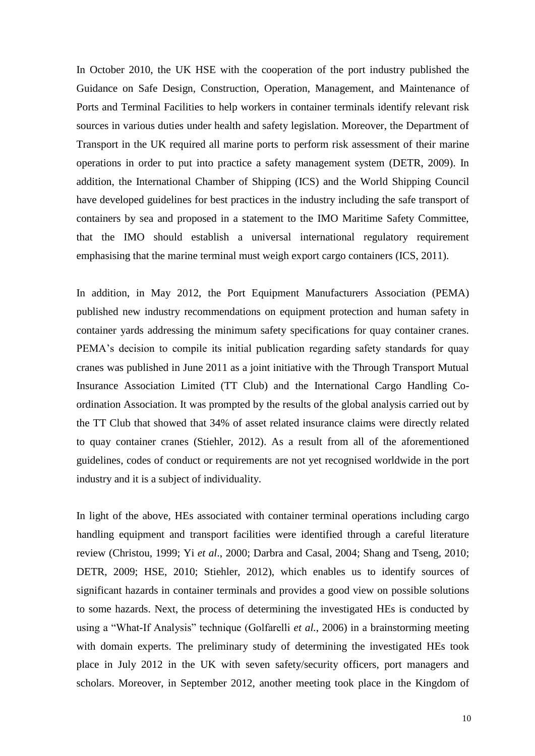In October 2010, the UK HSE with the cooperation of the port industry published the Guidance on Safe Design, Construction, Operation, Management, and Maintenance of Ports and Terminal Facilities to help workers in container terminals identify relevant risk sources in various duties under health and safety legislation. Moreover, the Department of Transport in the UK required all marine ports to perform risk assessment of their marine operations in order to put into practice a safety management system (DETR, 2009). In addition, the International Chamber of Shipping (ICS) and the World Shipping Council have developed guidelines for best practices in the industry including the safe transport of containers by sea and proposed in a statement to the IMO Maritime Safety Committee, that the IMO should establish a universal international regulatory requirement emphasising that the marine terminal must weigh export cargo containers (ICS, 2011).

In addition, in May 2012, the Port Equipment Manufacturers Association (PEMA) published new industry recommendations on equipment protection and human safety in container yards addressing the minimum safety specifications for quay container cranes. PEMA's decision to compile its initial publication regarding safety standards for quay cranes was published in June 2011 as a joint initiative with the Through Transport Mutual Insurance Association Limited (TT Club) and the International Cargo Handling Coordination Association. It was prompted by the results of the global analysis carried out by the TT Club that showed that 34% of asset related insurance claims were directly related to quay container cranes (Stiehler, 2012). As a result from all of the aforementioned guidelines, codes of conduct or requirements are not yet recognised worldwide in the port industry and it is a subject of individuality.

In light of the above, HEs associated with container terminal operations including cargo handling equipment and transport facilities were identified through a careful literature review (Christou, 1999; Yi *et al*., 2000; Darbra and Casal, 2004; Shang and Tseng, 2010; DETR, 2009; HSE, 2010; Stiehler, 2012), which enables us to identify sources of significant hazards in container terminals and provides a good view on possible solutions to some hazards. Next, the process of determining the investigated HEs is conducted by using a "What-If Analysis" technique (Golfarelli *et al.*, 2006) in a brainstorming meeting with domain experts. The preliminary study of determining the investigated HEs took place in July 2012 in the UK with seven safety/security officers, port managers and scholars. Moreover, in September 2012, another meeting took place in the Kingdom of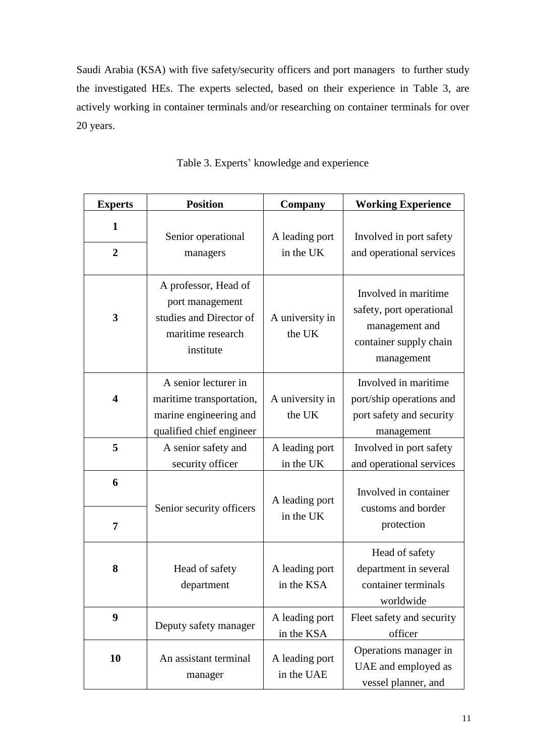Saudi Arabia (KSA) with five safety/security officers and port managers to further study the investigated HEs. The experts selected, based on their experience in Table 3, are actively working in container terminals and/or researching on container terminals for over 20 years.

| <b>Experts</b>          | <b>Position</b>                                                                                        | <b>Company</b>               | <b>Working Experience</b>                                                                                  |
|-------------------------|--------------------------------------------------------------------------------------------------------|------------------------------|------------------------------------------------------------------------------------------------------------|
| 1<br>$\overline{2}$     | Senior operational<br>managers                                                                         | A leading port<br>in the UK  | Involved in port safety<br>and operational services                                                        |
| 3                       | A professor, Head of<br>port management<br>studies and Director of<br>maritime research<br>institute   | A university in<br>the UK    | Involved in maritime<br>safety, port operational<br>management and<br>container supply chain<br>management |
| $\overline{\mathbf{4}}$ | A senior lecturer in<br>maritime transportation,<br>marine engineering and<br>qualified chief engineer | A university in<br>the UK    | Involved in maritime<br>port/ship operations and<br>port safety and security<br>management                 |
| 5                       | A senior safety and<br>security officer                                                                | A leading port<br>in the UK  | Involved in port safety<br>and operational services                                                        |
| 6                       | Senior security officers                                                                               | A leading port<br>in the UK  | Involved in container<br>customs and border                                                                |
| 7                       |                                                                                                        |                              | protection                                                                                                 |
| 8                       | Head of safety<br>department                                                                           | A leading port<br>in the KSA | Head of safety<br>department in several<br>container terminals<br>worldwide                                |
| 9                       | Deputy safety manager                                                                                  | A leading port<br>in the KSA | Fleet safety and security<br>officer                                                                       |
| 10                      | An assistant terminal<br>manager                                                                       | A leading port<br>in the UAE | Operations manager in<br>UAE and employed as<br>vessel planner, and                                        |

|  | Table 3. Experts' knowledge and experience |  |
|--|--------------------------------------------|--|
|  |                                            |  |
|  |                                            |  |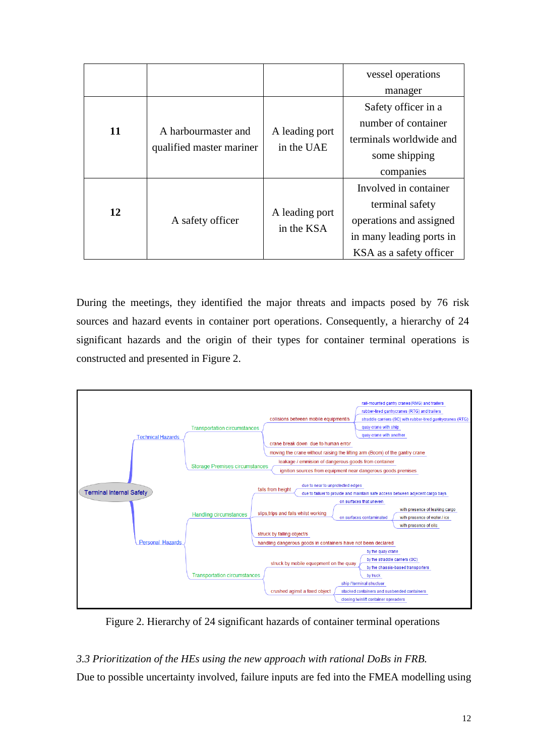|    |                          |                              | vessel operations        |
|----|--------------------------|------------------------------|--------------------------|
|    |                          |                              | manager                  |
|    |                          |                              | Safety officer in a      |
|    |                          |                              | number of container      |
| 11 | A harbourmaster and      | A leading port<br>in the UAE | terminals worldwide and  |
|    | qualified master mariner |                              | some shipping            |
|    |                          |                              | companies                |
| 12 | A safety officer         |                              | Involved in container    |
|    |                          |                              | terminal safety          |
|    |                          | A leading port               | operations and assigned  |
|    |                          | in the KSA                   | in many leading ports in |
|    |                          |                              | KSA as a safety officer  |

During the meetings, they identified the major threats and impacts posed by 76 risk sources and hazard events in container port operations. Consequently, a hierarchy of 24 significant hazards and the origin of their types for container terminal operations is constructed and presented in Figure 2.



Figure 2. Hierarchy of 24 significant hazards of container terminal operations

### *3.3 Prioritization of the HEs using the new approach with rational DoBs in FRB.*

Due to possible uncertainty involved, failure inputs are fed into the FMEA modelling using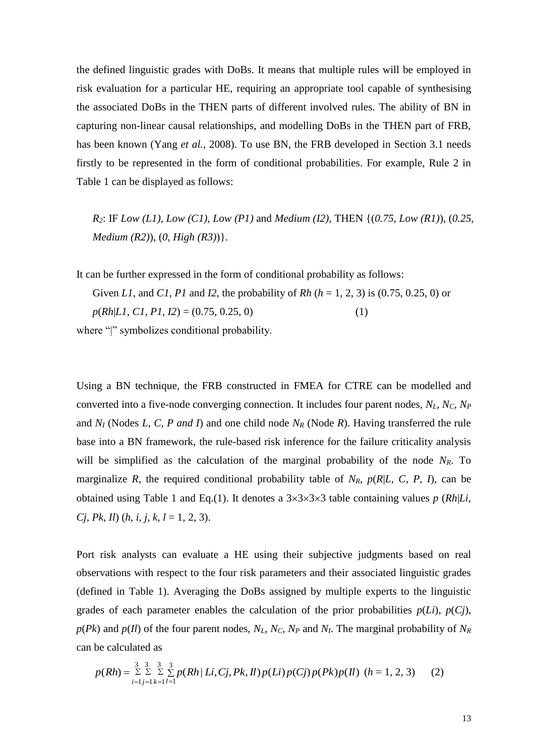the defined linguistic grades with DoBs. It means that multiple rules will be employed in risk evaluation for a particular HE, requiring an appropriate tool capable of synthesising the associated DoBs in the THEN parts of different involved rules. The ability of BN in capturing non-linear causal relationships, and modelling DoBs in the THEN part of FRB, has been known (Yang *et al.,* 2008). To use BN, the FRB developed in Section 3.1 needs firstly to be represented in the form of conditional probabilities. For example, Rule 2 in Table 1 can be displayed as follows:

*R2*: IF *Low (L1)*, *Low (C1)*, *Low (P1)* and *Medium (I2)*, THEN {(*0.75*, *Low (R1)*), (*0.25*, *Medium (R2)*), (*0*, *High (R3)*)}.

It can be further expressed in the form of conditional probability as follows:

Given *L1*, and *C1*, *P1* and *I2*, the probability of *Rh* ( $h = 1, 2, 3$ ) is (0.75, 0.25, 0) or *p*(*Rh*|*L1, C1, P1, I2*) = (0.75, 0.25, 0) (1)

where "|" symbolizes conditional probability.

Using a BN technique, the FRB constructed in FMEA for CTRE can be modelled and converted into a five-node converging connection. It includes four parent nodes, *NL*, *NC*, *N<sup>P</sup>* and *N<sup>I</sup>* (Nodes *L*, *C, P and I*) and one child node *N<sup>R</sup>* (Node *R*). Having transferred the rule base into a BN framework, the rule-based risk inference for the failure criticality analysis will be simplified as the calculation of the marginal probability of the node  $N_R$ . To marginalize *R*, the required conditional probability table of  $N_R$ ,  $p(R|L, C, P, I)$ , can be obtained using Table 1 and Eq.(1). It denotes a  $3 \times 3 \times 3 \times 3$  table containing values *p* (*Rh*|*Li*, *Cj, Pk, Il*) (*h, i, j, k, l* = 1, 2, 3).

Port risk analysts can evaluate a HE using their subjective judgments based on real observations with respect to the four risk parameters and their associated linguistic grades (defined in Table 1). Averaging the DoBs assigned by multiple experts to the linguistic grades of each parameter enables the calculation of the prior probabilities  $p(Li)$ ,  $p(Cj)$ ,  $p(Pk)$  and  $p(Il)$  of the four parent nodes,  $N_L$ ,  $N_C$ ,  $N_P$  and  $N_I$ . The marginal probability of  $N_R$ can be calculated as

$$
p(Rh) = \sum_{i=1}^{3} \sum_{j=1}^{3} \sum_{k=1}^{3} \sum_{l=1}^{3} p(Rh | Li, Cj, Pk, Il) p(Li) p(Cj) p(Pk) p(Il) \ (h = 1, 2, 3) \tag{2}
$$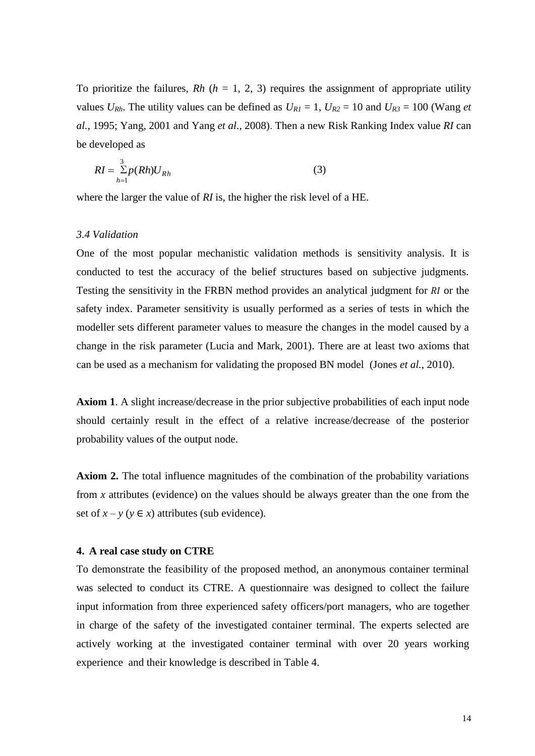To prioritize the failures,  $Rh$  ( $h = 1, 2, 3$ ) requires the assignment of appropriate utility values  $U_{Rh}$ . The utility values can be defined as  $U_{RI} = 1$ ,  $U_{R2} = 10$  and  $U_{R3} = 100$  (Wang *et al.*, 1995; Yang, 2001 and Yang *et al*., 2008). Then a new Risk Ranking Index value *RI* can be developed as

$$
RI = \sum_{h=1}^{3} p(Rh)U_{Rh}
$$
\n(3)

where the larger the value of *RI* is, the higher the risk level of a HE.

#### *3.4 Validation*

One of the most popular mechanistic validation methods is sensitivity analysis. It is conducted to test the accuracy of the belief structures based on subjective judgments. Testing the sensitivity in the FRBN method provides an analytical judgment for  $RI$  or the safety index. Parameter sensitivity is usually performed as a series of tests in which the modeller sets different parameter values to measure the changes in the model caused by a change in the risk parameter (Lucia and Mark, 2001). There are at least two axioms that can be used as a mechanism for validating the proposed BN model (Jones *et al.*, 2010).

**Axiom 1**. A slight increase/decrease in the prior subjective probabilities of each input node should certainly result in the effect of a relative increase/decrease of the posterior probability values of the output node.

**Axiom 2.** The total influence magnitudes of the combination of the probability variations from *x* attributes (evidence) on the values should be always greater than the one from the set of  $x - y$  ( $y \in x$ ) attributes (sub evidence).

#### **4. A real case study on CTRE**

To demonstrate the feasibility of the proposed method, an anonymous container terminal was selected to conduct its CTRE. A questionnaire was designed to collect the failure input information from three experienced safety officers/port managers, who are together in charge of the safety of the investigated container terminal. The experts selected are actively working at the investigated container terminal with over 20 years working experience and their knowledge is described in Table 4.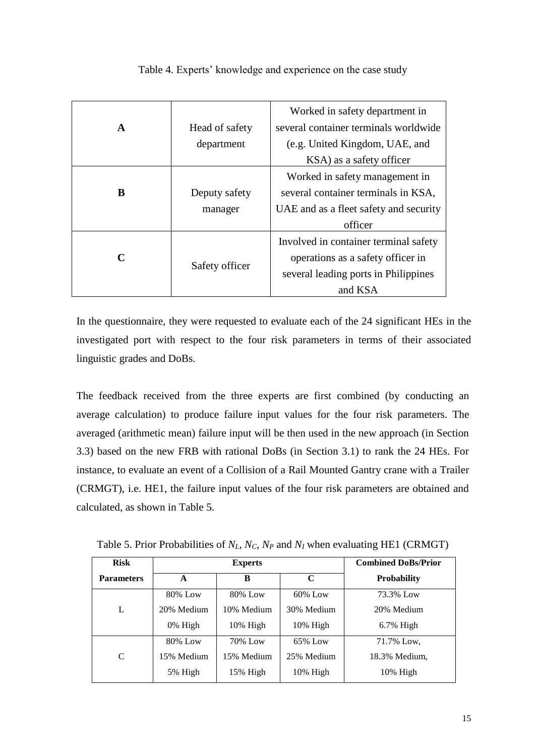|              |                | Worked in safety department in         |  |
|--------------|----------------|----------------------------------------|--|
| $\mathbf{A}$ | Head of safety | several container terminals worldwide  |  |
|              | department     | (e.g. United Kingdom, UAE, and         |  |
|              |                | KSA) as a safety officer               |  |
|              |                | Worked in safety management in         |  |
| R            | Deputy safety  | several container terminals in KSA,    |  |
|              | manager        | UAE and as a fleet safety and security |  |
|              |                | officer                                |  |
|              |                | Involved in container terminal safety  |  |
| $\mathbf C$  | Safety officer | operations as a safety officer in      |  |
|              |                | several leading ports in Philippines   |  |
|              |                | and KSA                                |  |

Table 4. Experts' knowledge and experience on the case study

In the questionnaire, they were requested to evaluate each of the 24 significant HEs in the investigated port with respect to the four risk parameters in terms of their associated linguistic grades and DoBs.

The feedback received from the three experts are first combined (by conducting an average calculation) to produce failure input values for the four risk parameters. The averaged (arithmetic mean) failure input will be then used in the new approach (in Section 3.3) based on the new FRB with rational DoBs (in Section 3.1) to rank the 24 HEs. For instance, to evaluate an event of a Collision of a Rail Mounted Gantry crane with a Trailer (CRMGT), i.e. HE1, the failure input values of the four risk parameters are obtained and calculated, as shown in Table 5.

| <b>Risk</b>                      | <b>Experts</b> |             | <b>Combined DoBs/Prior</b> |                    |
|----------------------------------|----------------|-------------|----------------------------|--------------------|
| <b>Parameters</b><br>$\mathbf A$ |                | B           | C                          | <b>Probability</b> |
|                                  | 80% Low        | 80% Low     | $60\%$ Low                 | 73.3% Low          |
| L                                | 20% Medium     | 10% Medium  | 30% Medium                 | 20% Medium         |
|                                  | 0% High        | $10\%$ High | $10\%$ High                | $6.7\%$ High       |
|                                  | 80% Low        | 70% Low     | 65% Low                    | 71.7% Low,         |
| C                                | 15% Medium     | 15% Medium  | 25% Medium                 | 18.3% Medium,      |
|                                  | 5% High        | $15\%$ High | 10% High                   | 10% High           |

Table 5. Prior Probabilities of *NL*, *NC*, *N<sup>P</sup>* and *N<sup>I</sup>* when evaluating HE1 (CRMGT)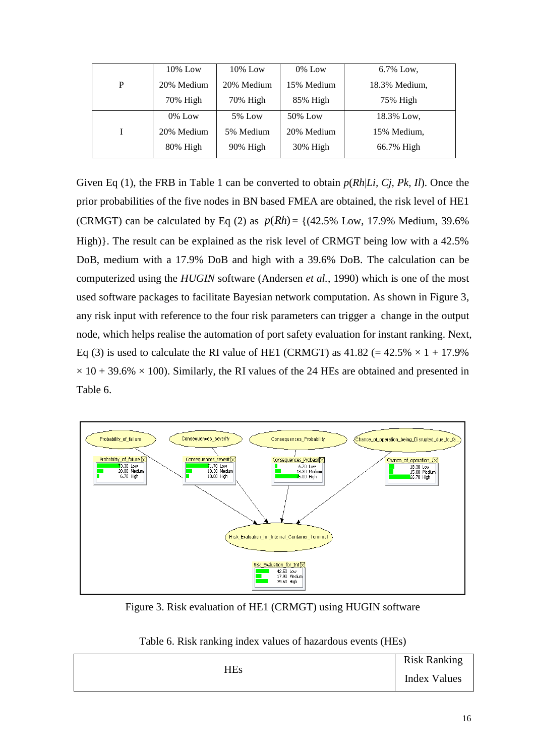|   | $10\%$ Low | $10\%$ Low | $0\%$ Low  | 6.7% Low.     |
|---|------------|------------|------------|---------------|
| P | 20% Medium | 20% Medium | 15% Medium | 18.3% Medium, |
|   | 70% High   | 70% High   | 85% High   | 75% High      |
|   | $0\%$ Low  | 5% Low     | 50% Low    | 18.3% Low.    |
|   | 20% Medium | 5% Medium  | 20% Medium | 15% Medium,   |
|   | 80% High   | 90% High   | 30% High   | 66.7% High    |

Given Eq (1), the FRB in Table 1 can be converted to obtain *p*(*Rh*|*Li, Cj, Pk, Il*). Once the prior probabilities of the five nodes in BN based FMEA are obtained, the risk level of HE1 (CRMGT) can be calculated by Eq (2) as  $p(Rh) = \{(42.5\% \text{ Low}, 17.9\% \text{ Medium}, 39.6\%$ High)}. The result can be explained as the risk level of CRMGT being low with a 42.5% DoB, medium with a 17.9% DoB and high with a 39.6% DoB. The calculation can be computerized using the *HUGIN* software (Andersen *et al.*, 1990) which is one of the most used software packages to facilitate Bayesian network computation. As shown in Figure 3, any risk input with reference to the four risk parameters can trigger a change in the output node, which helps realise the automation of port safety evaluation for instant ranking. Next, Eq (3) is used to calculate the RI value of HE1 (CRMGT) as  $41.82$  (=  $42.5\% \times 1 + 17.9\%$  $\times$  10 + 39.6%  $\times$  100). Similarly, the RI values of the 24 HEs are obtained and presented in Table 6.



Figure 3. Risk evaluation of HE1 (CRMGT) using HUGIN software

|  | Table 6. Risk ranking index values of hazardous events (HEs) |  |
|--|--------------------------------------------------------------|--|
|--|--------------------------------------------------------------|--|

| HEs | <b>Risk Ranking</b> |
|-----|---------------------|
|     | <b>Index Values</b> |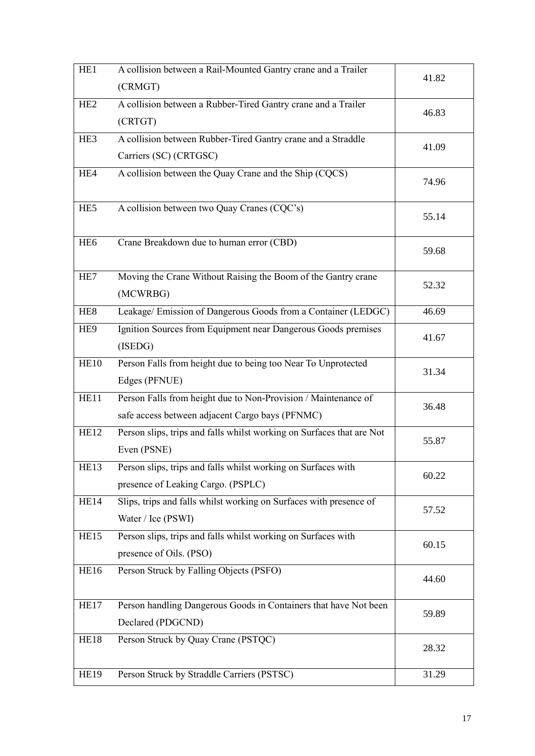| HE <sub>1</sub>  | A collision between a Rail-Mounted Gantry crane and a Trailer             | 41.82 |
|------------------|---------------------------------------------------------------------------|-------|
|                  | (CRMGT)                                                                   |       |
| HE <sub>2</sub>  | A collision between a Rubber-Tired Gantry crane and a Trailer             | 46.83 |
|                  | (CRTGT)                                                                   |       |
| HE <sub>3</sub>  | A collision between Rubber-Tired Gantry crane and a Straddle              | 41.09 |
|                  | Carriers (SC) (CRTGSC)                                                    |       |
| HE4              | A collision between the Quay Crane and the Ship (CQCS)                    | 74.96 |
| HE <sub>5</sub>  | A collision between two Quay Cranes (CQC's)                               | 55.14 |
| HE <sub>6</sub>  | Crane Breakdown due to human error (CBD)                                  | 59.68 |
| HE7              | Moving the Crane Without Raising the Boom of the Gantry crane<br>(MCWRBG) | 52.32 |
| HE <sub>8</sub>  | Leakage/ Emission of Dangerous Goods from a Container (LEDGC)             | 46.69 |
| HE <sub>9</sub>  | Ignition Sources from Equipment near Dangerous Goods premises             | 41.67 |
|                  | (ISEDG)                                                                   |       |
| <b>HE10</b>      | Person Falls from height due to being too Near To Unprotected             | 31.34 |
|                  | Edges (PFNUE)                                                             |       |
| HE11             | Person Falls from height due to Non-Provision / Maintenance of            |       |
|                  | safe access between adjacent Cargo bays (PFNMC)                           | 36.48 |
| HE <sub>12</sub> | Person slips, trips and falls whilst working on Surfaces that are Not     | 55.87 |
|                  | Even (PSNE)                                                               |       |
| HE13             | Person slips, trips and falls whilst working on Surfaces with             |       |
|                  | presence of Leaking Cargo. (PSPLC)                                        | 60.22 |
| <b>HE14</b>      | Slips, trips and falls whilst working on Surfaces with presence of        |       |
|                  | Water / Ice (PSWI)                                                        | 57.52 |
| HE15             | Person slips, trips and falls whilst working on Surfaces with             |       |
|                  | presence of Oils. (PSO)                                                   | 60.15 |
| HE16             | Person Struck by Falling Objects (PSFO)                                   |       |
|                  |                                                                           | 44.60 |
| HE17             | Person handling Dangerous Goods in Containers that have Not been          |       |
|                  | Declared (PDGCND)                                                         | 59.89 |
| <b>HE18</b>      | Person Struck by Quay Crane (PSTQC)                                       |       |
|                  |                                                                           | 28.32 |
| <b>HE19</b>      | Person Struck by Straddle Carriers (PSTSC)                                | 31.29 |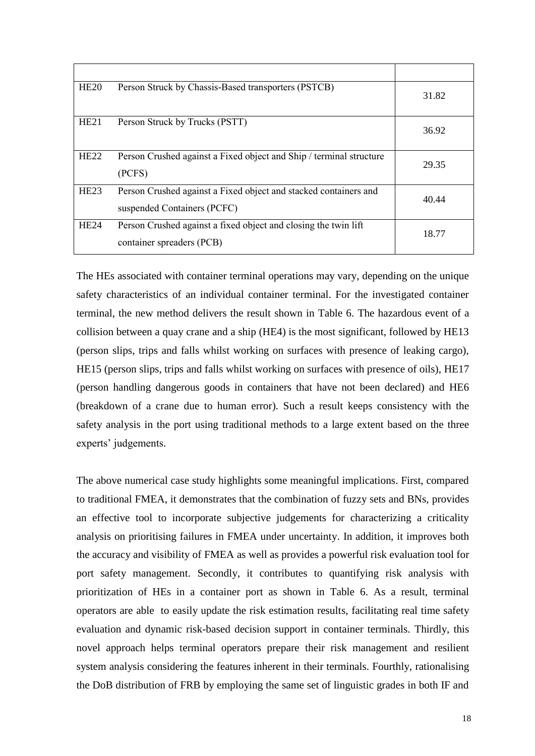| HE20        | Person Struck by Chassis-Based transporters (PSTCB)                                             | 31.82 |
|-------------|-------------------------------------------------------------------------------------------------|-------|
| HE21        | Person Struck by Trucks (PSTT)                                                                  | 36.92 |
| <b>HE22</b> | Person Crushed against a Fixed object and Ship / terminal structure<br>(PCFS)                   | 29.35 |
| <b>HE23</b> | Person Crushed against a Fixed object and stacked containers and<br>suspended Containers (PCFC) | 40.44 |
| <b>HE24</b> | Person Crushed against a fixed object and closing the twin lift<br>container spreaders (PCB)    | 18.77 |

The HEs associated with container terminal operations may vary, depending on the unique safety characteristics of an individual container terminal. For the investigated container terminal, the new method delivers the result shown in Table 6. The hazardous event of a collision between a quay crane and a ship (HE4) is the most significant, followed by HE13 (person slips, trips and falls whilst working on surfaces with presence of leaking cargo), HE15 (person slips, trips and falls whilst working on surfaces with presence of oils), HE17 (person handling dangerous goods in containers that have not been declared) and HE6 (breakdown of a crane due to human error). Such a result keeps consistency with the safety analysis in the port using traditional methods to a large extent based on the three experts' judgements.

The above numerical case study highlights some meaningful implications. First, compared to traditional FMEA, it demonstrates that the combination of fuzzy sets and BNs, provides an effective tool to incorporate subjective judgements for characterizing a criticality analysis on prioritising failures in FMEA under uncertainty. In addition, it improves both the accuracy and visibility of FMEA as well as provides a powerful risk evaluation tool for port safety management. Secondly, it contributes to quantifying risk analysis with prioritization of HEs in a container port as shown in Table 6. As a result, terminal operators are able to easily update the risk estimation results, facilitating real time safety evaluation and dynamic risk-based decision support in container terminals. Thirdly, this novel approach helps terminal operators prepare their risk management and resilient system analysis considering the features inherent in their terminals. Fourthly, rationalising the DoB distribution of FRB by employing the same set of linguistic grades in both IF and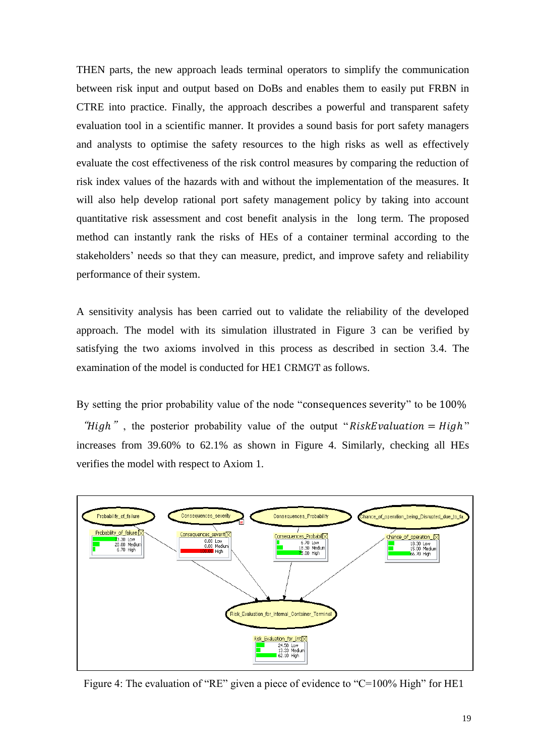THEN parts, the new approach leads terminal operators to simplify the communication between risk input and output based on DoBs and enables them to easily put FRBN in CTRE into practice. Finally, the approach describes a powerful and transparent safety evaluation tool in a scientific manner. It provides a sound basis for port safety managers and analysts to optimise the safety resources to the high risks as well as effectively evaluate the cost effectiveness of the risk control measures by comparing the reduction of risk index values of the hazards with and without the implementation of the measures. It will also help develop rational port safety management policy by taking into account quantitative risk assessment and cost benefit analysis in the long term. The proposed method can instantly rank the risks of HEs of a container terminal according to the stakeholders' needs so that they can measure, predict, and improve safety and reliability performance of their system.

A sensitivity analysis has been carried out to validate the reliability of the developed approach. The model with its simulation illustrated in Figure 3 can be verified by satisfying the two axioms involved in this process as described in section 3.4. The examination of the model is conducted for HE1 CRMGT as follows.

By setting the prior probability value of the node "consequences severity" to be 100% "High", the posterior probability value of the output "RiskEvaluation =  $High$ " increases from 39.60% to 62.1% as shown in Figure 4. Similarly, checking all HEs verifies the model with respect to Axiom 1.



Figure 4: The evaluation of "RE" given a piece of evidence to "C=100% High" for HE1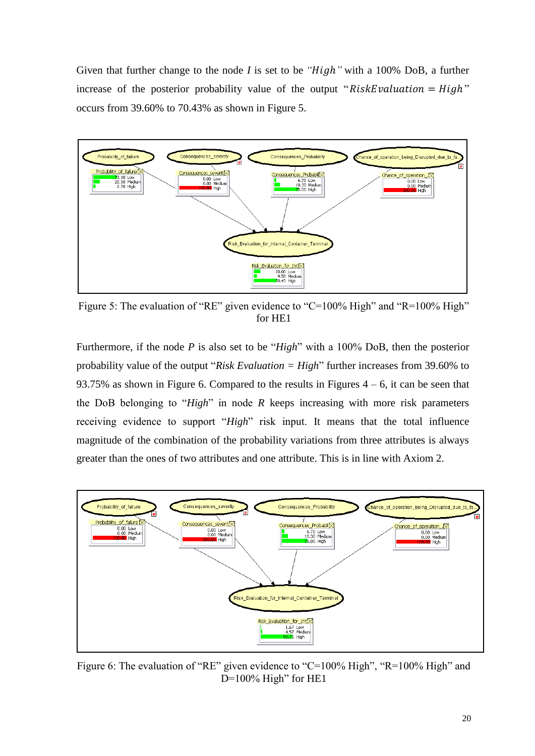Given that further change to the node *I* is set to be "High" with a 100% DoB, a further increase of the posterior probability value of the output " $RiskEvaluation = High$ " occurs from 39.60% to 70.43% as shown in Figure 5.



Figure 5: The evaluation of "RE" given evidence to "C=100% High" and "R=100% High" for HE1

Furthermore, if the node *P* is also set to be "*High*" with a 100% DoB, then the posterior probability value of the output "*Risk Evaluation = High*" further increases from 39.60% to 93.75% as shown in Figure 6. Compared to the results in Figures  $4 - 6$ , it can be seen that the DoB belonging to "*High*" in node *R* keeps increasing with more risk parameters receiving evidence to support "*High*" risk input. It means that the total influence magnitude of the combination of the probability variations from three attributes is always greater than the ones of two attributes and one attribute. This is in line with Axiom 2.



Figure 6: The evaluation of "RE" given evidence to "C=100% High", "R=100% High" and  $D=100\%$  High" for HE1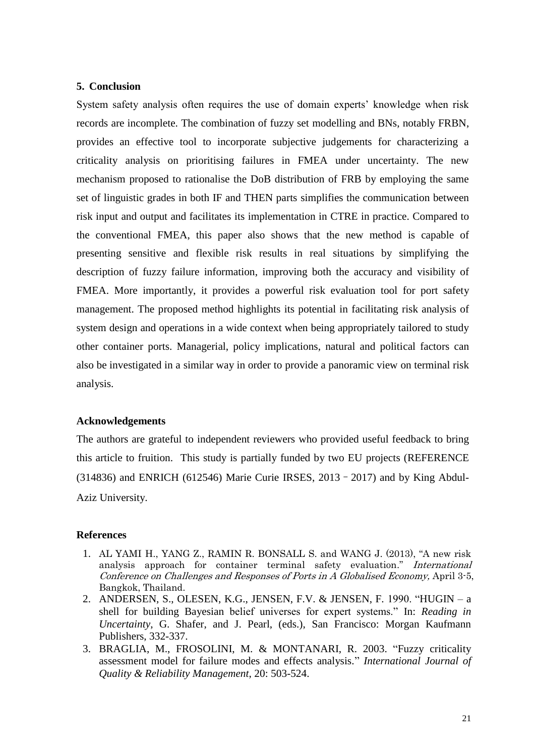#### **5. Conclusion**

System safety analysis often requires the use of domain experts' knowledge when risk records are incomplete. The combination of fuzzy set modelling and BNs, notably FRBN, provides an effective tool to incorporate subjective judgements for characterizing a criticality analysis on prioritising failures in FMEA under uncertainty. The new mechanism proposed to rationalise the DoB distribution of FRB by employing the same set of linguistic grades in both IF and THEN parts simplifies the communication between risk input and output and facilitates its implementation in CTRE in practice. Compared to the conventional FMEA, this paper also shows that the new method is capable of presenting sensitive and flexible risk results in real situations by simplifying the description of fuzzy failure information, improving both the accuracy and visibility of FMEA. More importantly, it provides a powerful risk evaluation tool for port safety management. The proposed method highlights its potential in facilitating risk analysis of system design and operations in a wide context when being appropriately tailored to study other container ports. Managerial, policy implications, natural and political factors can also be investigated in a similar way in order to provide a panoramic view on terminal risk analysis.

#### **Acknowledgements**

The authors are grateful to independent reviewers who provided useful feedback to bring this article to fruition. This study is partially funded by two EU projects (REFERENCE (314836) and ENRICH (612546) Marie Curie IRSES, 2013–2017) and by King Abdul-Aziz University.

#### **References**

- 1. AL YAMI H., YANG Z., RAMIN R. BONSALL S. and WANG J. (2013), "A new risk analysis approach for container terminal safety evaluation." International Conference on Challenges and Responses of Ports in A Globalised Economy, April 3-5, Bangkok, Thailand.
- 2. ANDERSEN, S., OLESEN, K.G., JENSEN, F.V. & JENSEN, F. 1990. "HUGIN a shell for building Bayesian belief universes for expert systems." In: *Reading in Uncertainty*, G. Shafer, and J. Pearl, (eds.), San Francisco: Morgan Kaufmann Publishers, 332-337.
- 3. BRAGLIA, M., FROSOLINI, M. & MONTANARI, R. 2003. "Fuzzy criticality assessment model for failure modes and effects analysis." *International Journal of Quality & Reliability Management*, 20: 503-524.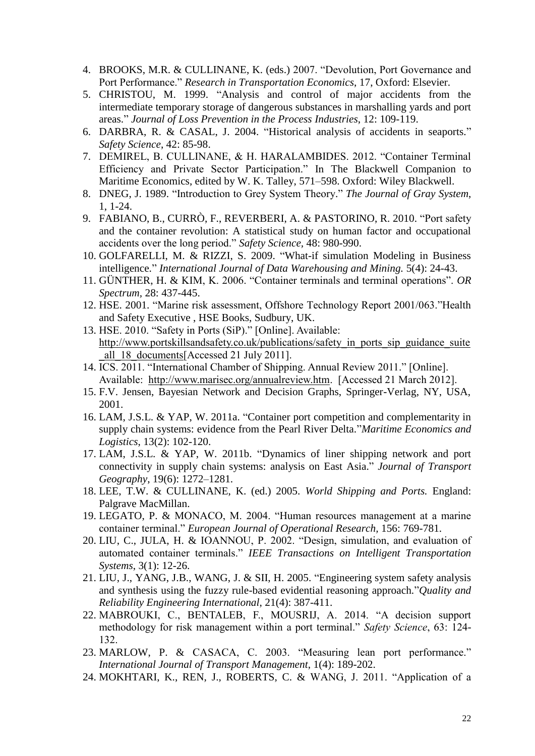- 4. BROOKS, M.R. & CULLINANE, K. (eds.) 2007. "Devolution, Port Governance and Port Performance." *Research in Transportation Economics*, 17, Oxford: Elsevier.
- 5. CHRISTOU, M. 1999. "Analysis and control of major accidents from the intermediate temporary storage of dangerous substances in marshalling yards and port areas." *Journal of Loss Prevention in the Process Industries*, 12: 109-119.
- 6. DARBRA, R. & CASAL, J. 2004. "Historical analysis of accidents in seaports." *Safety Science*, 42: 85-98.
- 7. DEMIREL, B. CULLINANE, & H. HARALAMBIDES. 2012. "Container Terminal Efficiency and Private Sector Participation." In The Blackwell Companion to Maritime Economics, edited by W. K. Talley, 571–598. Oxford: Wiley Blackwell.
- 8. DNEG, J. 1989. "Introduction to Grey System Theory." *The Journal of Gray System*, 1, 1-24.
- 9. FABIANO, B., CURRÒ, F., REVERBERI, A. & PASTORINO, R. 2010. "Port safety and the container revolution: A statistical study on human factor and occupational accidents over the long period." *Safety Science,* 48: 980-990.
- 10. GOLFARELLI, M. & RIZZI, S. 2009. "What-if simulation Modeling in Business intelligence." *International Journal of Data Warehousing and Mining.* 5(4): 24-43.
- 11. GÜNTHER, H. & KIM, K. 2006. "Container terminals and terminal operations". *OR Spectrum,* 28: 437-445.
- 12. HSE. 2001. "Marine risk assessment, Offshore Technology Report 2001/063."Health and Safety Executive , HSE Books, Sudbury, UK.
- 13. HSE. 2010. "Safety in Ports (SiP)." [Online]. Available: http://www.portskillsandsafety.co.uk/publications/safety in ports sip\_guidance\_suite all 18 documents[Accessed 21 July 2011].
- 14. ICS. 2011. "International Chamber of Shipping. Annual Review 2011." [Online]. Available: [http://www.marisec.org/annualreview.htm.](http://www.marisec.org/annualreview.htm) [Accessed 21 March 2012].
- 15. F.V. Jensen, Bayesian Network and Decision Graphs, Springer-Verlag, NY, USA, 2001.
- 16. LAM, J.S.L. & YAP, W. 2011a. "Container port competition and complementarity in supply chain systems: evidence from the Pearl River Delta."*Maritime Economics and Logistics*, 13(2): 102-120.
- 17. LAM, J.S.L. & YAP, W. 2011b. "Dynamics of liner shipping network and port connectivity in supply chain systems: analysis on East Asia." *Journal of Transport Geography*, 19(6): 1272–1281.
- 18. LEE, T.W. & CULLINANE, K. (ed.) 2005. *World Shipping and Ports.* England: Palgrave MacMillan.
- 19. LEGATO, P. & MONACO, M. 2004. "Human resources management at a marine container terminal." *European Journal of Operational Research,* 156: 769-781.
- 20. LIU, C., JULA, H. & IOANNOU, P. 2002. "Design, simulation, and evaluation of automated container terminals." *IEEE Transactions on Intelligent Transportation Systems*, 3(1): 12-26.
- 21. LIU, J., YANG, J.B., WANG, J. & SII, H. 2005. "Engineering system safety analysis and synthesis using the fuzzy rule-based evidential reasoning approach."*Quality and Reliability Engineering International*, 21(4): 387-411.
- 22. MABROUKI, C., BENTALEB, F., MOUSRIJ, A. 2014. "A decision support methodology for risk management within a port terminal." *Safety Science*, 63: 124- 132.
- 23. MARLOW, P. & CASACA, C. 2003. "Measuring lean port performance." *International Journal of Transport Management*, 1(4): 189-202.
- 24. MOKHTARI, K., REN, J., ROBERTS, C. & WANG, J. 2011. "Application of a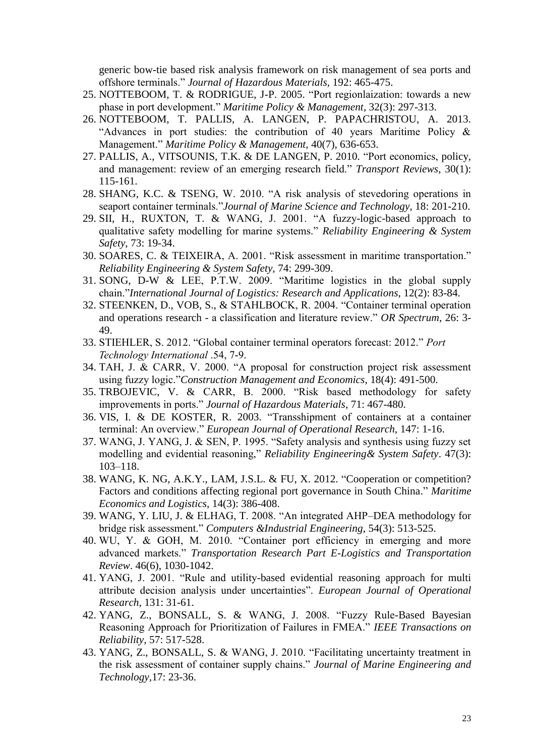generic bow-tie based risk analysis framework on risk management of sea ports and offshore terminals." *Journal of Hazardous Materials*, 192: 465-475.

- 25. NOTTEBOOM, T. & RODRIGUE, J-P. 2005. "Port regionlaization: towards a new phase in port development." *Maritime Policy & Management*, 32(3): 297-313.
- 26. NOTTEBOOM, T. PALLIS, A. LANGEN, P. PAPACHRISTOU, A. 2013. "Advances in port studies: the contribution of 40 years Maritime Policy & Management." *Maritime Policy & Management,* 40(7), 636-653.
- 27. PALLIS, A., VITSOUNIS, T.K. & DE LANGEN, P. 2010. "Port economics, policy, and management: review of an emerging research field." *Transport Reviews*, 30(1): 115-161.
- 28. SHANG, K.C. & TSENG, W. 2010. "A risk analysis of stevedoring operations in seaport container terminals."*Journal of Marine Science and Technology*, 18: 201-210.
- 29. SII, H., RUXTON, T. & WANG, J. 2001. "A fuzzy-logic-based approach to qualitative safety modelling for marine systems." *Reliability Engineering & System Safety*, 73: 19-34.
- 30. SOARES, C. & TEIXEIRA, A. 2001. "Risk assessment in maritime transportation." *Reliability Engineering & System Safety,* 74: 299-309.
- 31. SONG, D-W & LEE, P.T.W. 2009. "Maritime logistics in the global supply chain."*International Journal of Logistics: Research and Applications*, 12(2): 83-84.
- 32. STEENKEN, D., VOB, S., & STAHLBOCK, R. 2004. "Container terminal operation and operations research - a classification and literature review." *OR Spectrum*, 26: 3- 49.
- 33. STIEHLER, S. 2012. "Global container terminal operators forecast: 2012." *Port Technology International* .54, 7-9.
- 34. TAH, J. & CARR, V. 2000. "A proposal for construction project risk assessment using fuzzy logic."*Construction Management and Economics*, 18(4): 491-500.
- 35. TRBOJEVIC, V. & CARR, B. 2000. "Risk based methodology for safety improvements in ports." *Journal of Hazardous Materials*, 71: 467-480.
- 36. VIS, I. & DE KOSTER, R. 2003. "Transshipment of containers at a container terminal: An overview." *European Journal of Operational Research,* 147: 1-16.
- 37. WANG, J. YANG, J. & SEN, P. 1995. "Safety analysis and synthesis using fuzzy set modelling and evidential reasoning," *Reliability Engineering& System Safety*. 47(3): 103–118.
- 38. WANG, K. NG, A.K.Y., LAM, J.S.L. & FU, X. 2012. "Cooperation or competition? Factors and conditions affecting regional port governance in South China." *Maritime Economics and Logistics*, 14(3): 386-408.
- 39. WANG, Y. LIU, J. & ELHAG, T. 2008. "An integrated AHP–DEA methodology for bridge risk assessment." *Computers &Industrial Engineering*, 54(3): 513-525.
- 40. WU, Y. & GOH, M. 2010. "Container port efficiency in emerging and more advanced markets." *Transportation Research Part E-Logistics and Transportation Review*. 46(6), 1030-1042.
- 41. YANG, J. 2001. "Rule and utility-based evidential reasoning approach for multi attribute decision analysis under uncertainties". *European Journal of Operational Research*, 131: 31-61.
- 42. YANG, Z., BONSALL, S. & WANG, J. 2008. "Fuzzy Rule-Based Bayesian Reasoning Approach for Prioritization of Failures in FMEA." *IEEE Transactions on Reliability,* 57: 517-528.
- 43. YANG, Z., BONSALL, S. & WANG, J. 2010. "Facilitating uncertainty treatment in the risk assessment of container supply chains." *Journal of Marine Engineering and Technology,*17: 23-36.